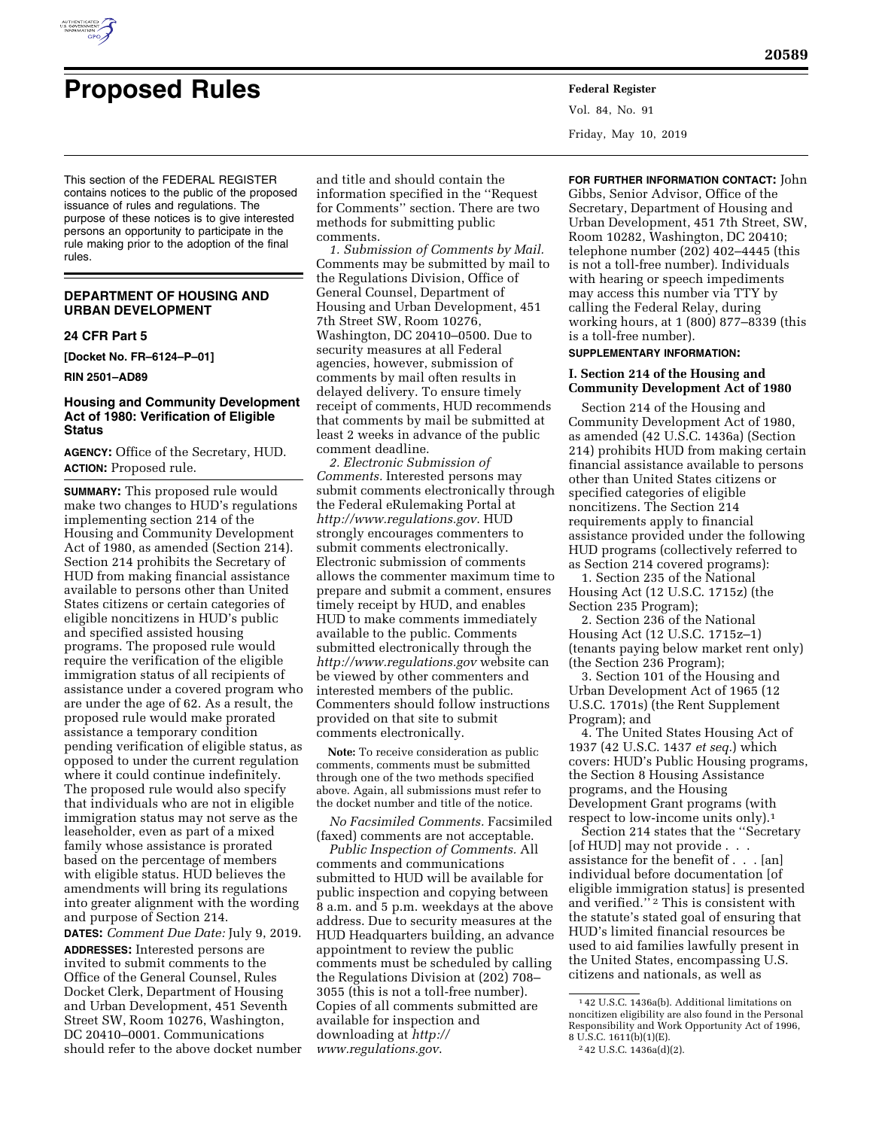

# **Proposed Rules Federal Register**

Vol. 84, No. 91 Friday, May 10, 2019

This section of the FEDERAL REGISTER contains notices to the public of the proposed issuance of rules and regulations. The purpose of these notices is to give interested persons an opportunity to participate in the rule making prior to the adoption of the final rules.

# **DEPARTMENT OF HOUSING AND URBAN DEVELOPMENT**

## **24 CFR Part 5**

**[Docket No. FR–6124–P–01]** 

#### **RIN 2501–AD89**

# **Housing and Community Development Act of 1980: Verification of Eligible Status**

**AGENCY:** Office of the Secretary, HUD. **ACTION:** Proposed rule.

**SUMMARY:** This proposed rule would make two changes to HUD's regulations implementing section 214 of the Housing and Community Development Act of 1980, as amended (Section 214). Section 214 prohibits the Secretary of HUD from making financial assistance available to persons other than United States citizens or certain categories of eligible noncitizens in HUD's public and specified assisted housing programs. The proposed rule would require the verification of the eligible immigration status of all recipients of assistance under a covered program who are under the age of 62. As a result, the proposed rule would make prorated assistance a temporary condition pending verification of eligible status, as opposed to under the current regulation where it could continue indefinitely. The proposed rule would also specify that individuals who are not in eligible immigration status may not serve as the leaseholder, even as part of a mixed family whose assistance is prorated based on the percentage of members with eligible status. HUD believes the amendments will bring its regulations into greater alignment with the wording and purpose of Section 214.

**DATES:** *Comment Due Date:* July 9, 2019. **ADDRESSES:** Interested persons are invited to submit comments to the Office of the General Counsel, Rules Docket Clerk, Department of Housing and Urban Development, 451 Seventh Street SW, Room 10276, Washington, DC 20410–0001. Communications should refer to the above docket number

and title and should contain the information specified in the ''Request for Comments'' section. There are two methods for submitting public comments.

*1. Submission of Comments by Mail.*  Comments may be submitted by mail to the Regulations Division, Office of General Counsel, Department of Housing and Urban Development, 451 7th Street SW, Room 10276, Washington, DC 20410–0500. Due to security measures at all Federal agencies, however, submission of comments by mail often results in delayed delivery. To ensure timely receipt of comments, HUD recommends that comments by mail be submitted at least 2 weeks in advance of the public comment deadline.

*2. Electronic Submission of Comments.* Interested persons may submit comments electronically through the Federal eRulemaking Portal at *<http://www.regulations.gov>*. HUD strongly encourages commenters to submit comments electronically. Electronic submission of comments allows the commenter maximum time to prepare and submit a comment, ensures timely receipt by HUD, and enables HUD to make comments immediately available to the public. Comments submitted electronically through the *<http://www.regulations.gov>* website can be viewed by other commenters and interested members of the public. Commenters should follow instructions provided on that site to submit comments electronically.

**Note:** To receive consideration as public comments, comments must be submitted through one of the two methods specified above. Again, all submissions must refer to the docket number and title of the notice.

*No Facsimiled Comments.* Facsimiled (faxed) comments are not acceptable.

*Public Inspection of Comments.* All comments and communications submitted to HUD will be available for public inspection and copying between 8 a.m. and 5 p.m. weekdays at the above address. Due to security measures at the HUD Headquarters building, an advance appointment to review the public comments must be scheduled by calling the Regulations Division at (202) 708– 3055 (this is not a toll-free number). Copies of all comments submitted are available for inspection and downloading at *[http://](http://www.regulations.gov) [www.regulations.gov](http://www.regulations.gov)*.

**FOR FURTHER INFORMATION CONTACT:** John Gibbs, Senior Advisor, Office of the Secretary, Department of Housing and Urban Development, 451 7th Street, SW, Room 10282, Washington, DC 20410; telephone number (202) 402–4445 (this is not a toll-free number). Individuals with hearing or speech impediments may access this number via TTY by calling the Federal Relay, during working hours, at 1 (800) 877–8339 (this is a toll-free number).

#### **SUPPLEMENTARY INFORMATION:**

# **I. Section 214 of the Housing and Community Development Act of 1980**

Section 214 of the Housing and Community Development Act of 1980, as amended (42 U.S.C. 1436a) (Section 214) prohibits HUD from making certain financial assistance available to persons other than United States citizens or specified categories of eligible noncitizens. The Section 214 requirements apply to financial assistance provided under the following HUD programs (collectively referred to as Section 214 covered programs):

1. Section 235 of the National Housing Act (12 U.S.C. 1715z) (the Section 235 Program);

2. Section 236 of the National Housing Act (12 U.S.C. 1715z–1) (tenants paying below market rent only) (the Section 236 Program);

3. Section 101 of the Housing and Urban Development Act of 1965 (12 U.S.C. 1701s) (the Rent Supplement Program); and

4. The United States Housing Act of 1937 (42 U.S.C. 1437 *et seq.*) which covers: HUD's Public Housing programs, the Section 8 Housing Assistance programs, and the Housing Development Grant programs (with respect to low-income units only).1

Section 214 states that the ''Secretary [of HUD] may not provide . . . assistance for the benefit of . . . [an] individual before documentation [of eligible immigration status] is presented and verified."<br/>  $\overline{\phantom{a}}^2$  This is consistent with the statute's stated goal of ensuring that HUD's limited financial resources be used to aid families lawfully present in the United States, encompassing U.S. citizens and nationals, as well as

<sup>1</sup> 42 U.S.C. 1436a(b). Additional limitations on noncitizen eligibility are also found in the Personal Responsibility and Work Opportunity Act of 1996, 8 U.S.C. 1611(b)(1)(E).

<sup>2</sup> 42 U.S.C. 1436a(d)(2).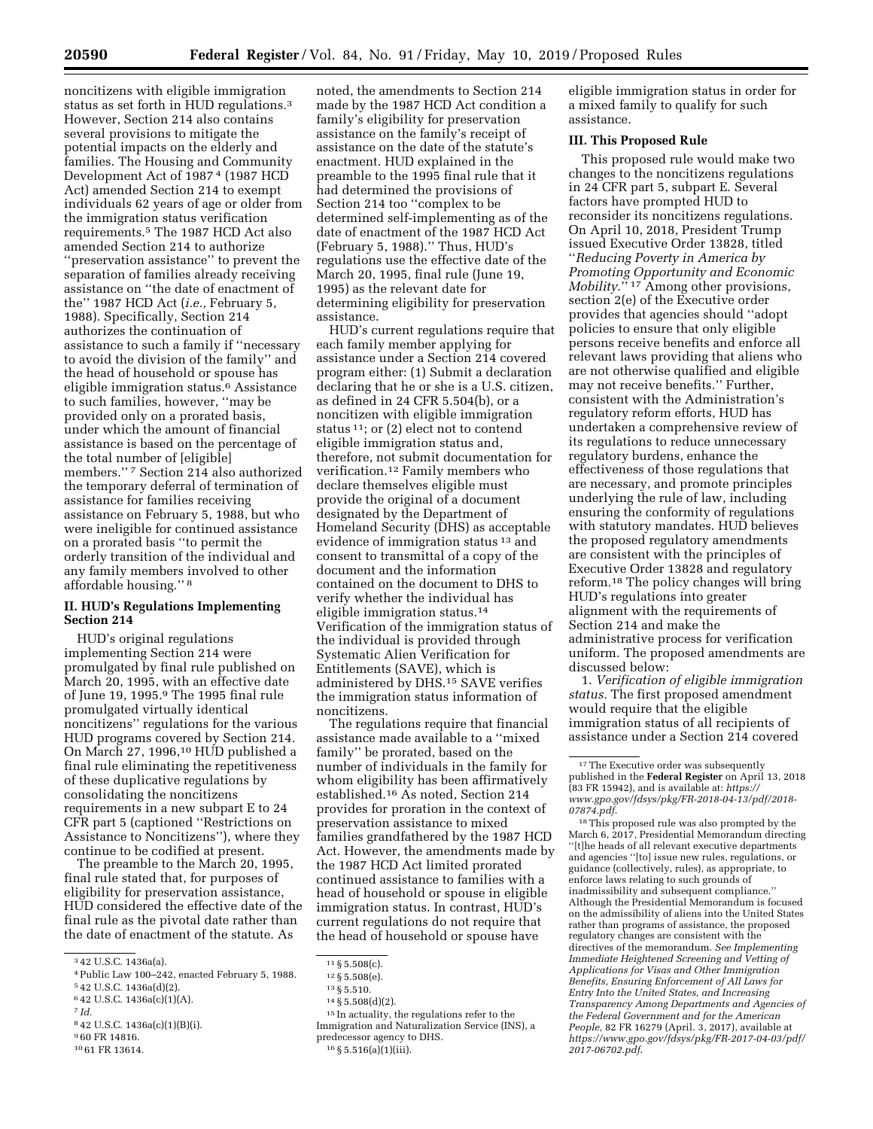noncitizens with eligible immigration status as set forth in HUD regulations.3 However, Section 214 also contains several provisions to mitigate the potential impacts on the elderly and families. The Housing and Community Development Act of 1987 4 (1987 HCD Act) amended Section 214 to exempt individuals 62 years of age or older from the immigration status verification requirements.5 The 1987 HCD Act also amended Section 214 to authorize ''preservation assistance'' to prevent the separation of families already receiving assistance on ''the date of enactment of the'' 1987 HCD Act (*i.e.,* February 5, 1988). Specifically, Section 214 authorizes the continuation of assistance to such a family if ''necessary to avoid the division of the family'' and the head of household or spouse has eligible immigration status.6 Assistance to such families, however, ''may be provided only on a prorated basis, under which the amount of financial assistance is based on the percentage of the total number of [eligible] members.'' 7 Section 214 also authorized the temporary deferral of termination of assistance for families receiving assistance on February 5, 1988, but who were ineligible for continued assistance on a prorated basis ''to permit the orderly transition of the individual and any family members involved to other affordable housing.'' 8

## **II. HUD's Regulations Implementing Section 214**

HUD's original regulations implementing Section 214 were promulgated by final rule published on March 20, 1995, with an effective date of June 19, 1995.9 The 1995 final rule promulgated virtually identical noncitizens'' regulations for the various HUD programs covered by Section 214. On March 27, 1996,10 HUD published a final rule eliminating the repetitiveness of these duplicative regulations by consolidating the noncitizens requirements in a new subpart E to 24 CFR part 5 (captioned ''Restrictions on Assistance to Noncitizens''), where they continue to be codified at present.

The preamble to the March 20, 1995, final rule stated that, for purposes of eligibility for preservation assistance, HUD considered the effective date of the final rule as the pivotal date rather than the date of enactment of the statute. As

- 4Public Law 100–242, enacted February 5, 1988. 5 42 U.S.C. 1436a(d)(2).
- 6 42 U.S.C. 1436a(c)(1)(A).
- 7 *Id.*
- 8 42 U.S.C. 1436a(c)(1)(B)(i).
- 9 60 FR 14816.
- 10 61 FR 13614.

noted, the amendments to Section 214 made by the 1987 HCD Act condition a family's eligibility for preservation assistance on the family's receipt of assistance on the date of the statute's enactment. HUD explained in the preamble to the 1995 final rule that it had determined the provisions of Section 214 too ''complex to be determined self-implementing as of the date of enactment of the 1987 HCD Act (February 5, 1988).'' Thus, HUD's regulations use the effective date of the March 20, 1995, final rule (June 19, 1995) as the relevant date for determining eligibility for preservation assistance.

HUD's current regulations require that each family member applying for assistance under a Section 214 covered program either: (1) Submit a declaration declaring that he or she is a U.S. citizen, as defined in 24 CFR 5.504(b), or a noncitizen with eligible immigration status 11; or (2) elect not to contend eligible immigration status and, therefore, not submit documentation for verification.12 Family members who declare themselves eligible must provide the original of a document designated by the Department of Homeland Security (DHS) as acceptable evidence of immigration status<sup>13</sup> and consent to transmittal of a copy of the document and the information contained on the document to DHS to verify whether the individual has eligible immigration status.<sup>14</sup> Verification of the immigration status of the individual is provided through Systematic Alien Verification for Entitlements (SAVE), which is administered by DHS.15 SAVE verifies the immigration status information of noncitizens.

The regulations require that financial assistance made available to a ''mixed family'' be prorated, based on the number of individuals in the family for whom eligibility has been affirmatively established.16 As noted, Section 214 provides for proration in the context of preservation assistance to mixed families grandfathered by the 1987 HCD Act. However, the amendments made by the 1987 HCD Act limited prorated continued assistance to families with a head of household or spouse in eligible immigration status. In contrast, HUD's current regulations do not require that the head of household or spouse have

- 
- 11 § 5.508(c).<br>
12 § 5.508(e).<br>
13 § 5.510.<br>
14 § 5.508(d)(2).<br>
15 In actuality, the regulations refer to the Immigration and Naturalization Service (INS), a predecessor agency to DHS.

16 § 5.516(a)(1)(iii).

eligible immigration status in order for a mixed family to qualify for such assistance.

#### **III. This Proposed Rule**

This proposed rule would make two changes to the noncitizens regulations in 24 CFR part 5, subpart E. Several factors have prompted HUD to reconsider its noncitizens regulations. On April 10, 2018, President Trump issued Executive Order 13828, titled ''*Reducing Poverty in America by Promoting Opportunity and Economic Mobility*.'' 17 Among other provisions, section 2(e) of the Executive order provides that agencies should ''adopt policies to ensure that only eligible persons receive benefits and enforce all relevant laws providing that aliens who are not otherwise qualified and eligible may not receive benefits.'' Further, consistent with the Administration's regulatory reform efforts, HUD has undertaken a comprehensive review of its regulations to reduce unnecessary regulatory burdens, enhance the effectiveness of those regulations that are necessary, and promote principles underlying the rule of law, including ensuring the conformity of regulations with statutory mandates. HUD believes the proposed regulatory amendments are consistent with the principles of Executive Order 13828 and regulatory reform.18 The policy changes will bring HUD's regulations into greater alignment with the requirements of Section 214 and make the administrative process for verification uniform. The proposed amendments are discussed below:

1. *Verification of eligible immigration status.* The first proposed amendment would require that the eligible immigration status of all recipients of assistance under a Section 214 covered

18This proposed rule was also prompted by the March 6, 2017, Presidential Memorandum directing ''[t]he heads of all relevant executive departments and agencies ''[to] issue new rules, regulations, or guidance (collectively, rules), as appropriate, to enforce laws relating to such grounds of inadmissibility and subsequent compliance.'' Although the Presidential Memorandum is focused on the admissibility of aliens into the United States rather than programs of assistance, the proposed regulatory changes are consistent with the directives of the memorandum. *See Implementing Immediate Heightened Screening and Vetting of Applications for Visas and Other Immigration Benefits, Ensuring Enforcement of All Laws for Entry Into the United States, and Increasing Transparency Among Departments and Agencies of the Federal Government and for the American People,* 82 FR 16279 (April. 3, 2017), available at *[https://www.gpo.gov/fdsys/pkg/FR-2017-04-03/pdf/](https://www.gpo.gov/fdsys/pkg/FR-2017-04-03/pdf/2017-06702.pdf)  [2017-06702.pdf](https://www.gpo.gov/fdsys/pkg/FR-2017-04-03/pdf/2017-06702.pdf)*.

<sup>3</sup> 42 U.S.C. 1436a(a).

<sup>&</sup>lt;sup>17</sup>The Executive order was subsequently published in the **Federal Register** on April 13, 2018 (83 FR 15942), and is available at: *[https://](https://www.gpo.gov/fdsys/pkg/FR-2018-04-13/pdf/2018-07874.pdf) [www.gpo.gov/fdsys/pkg/FR-2018-04-13/pdf/2018-](https://www.gpo.gov/fdsys/pkg/FR-2018-04-13/pdf/2018-07874.pdf)  [07874.pdf](https://www.gpo.gov/fdsys/pkg/FR-2018-04-13/pdf/2018-07874.pdf)*.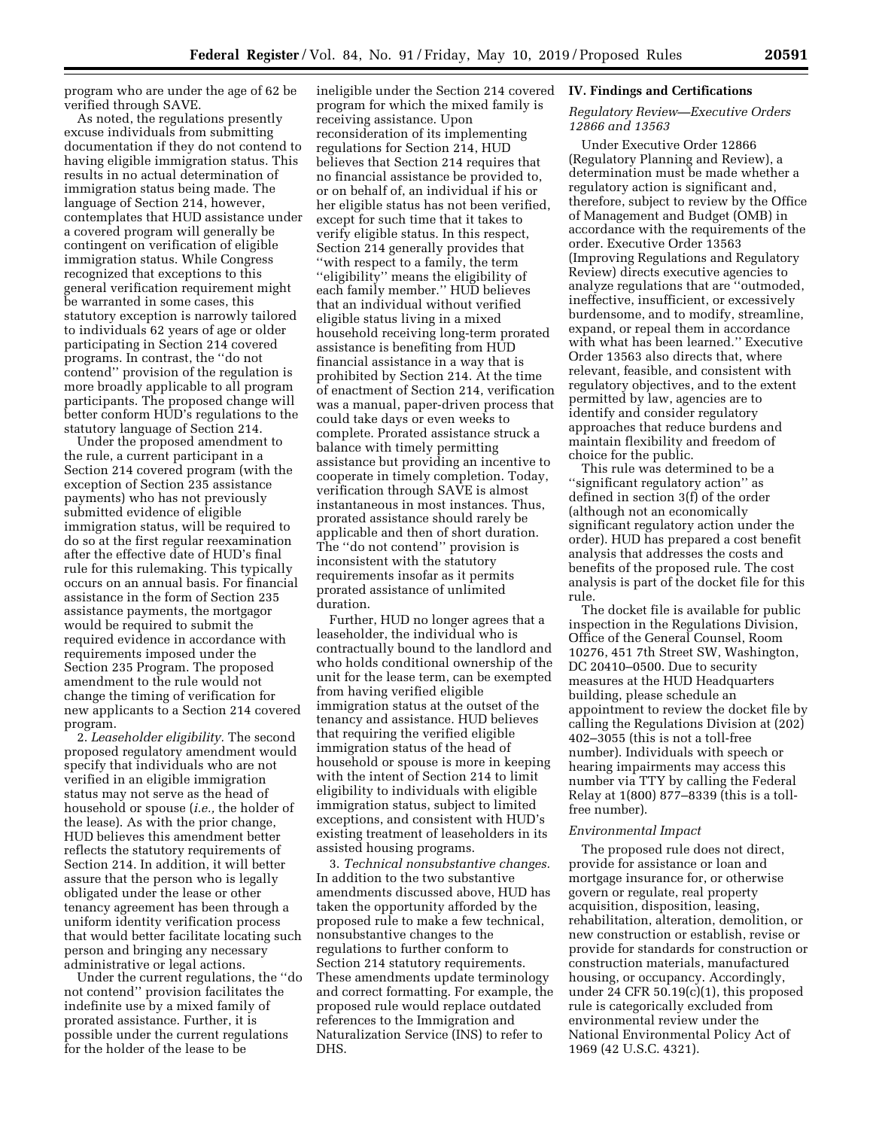program who are under the age of 62 be verified through SAVE.

As noted, the regulations presently excuse individuals from submitting documentation if they do not contend to having eligible immigration status. This results in no actual determination of immigration status being made. The language of Section 214, however, contemplates that HUD assistance under a covered program will generally be contingent on verification of eligible immigration status. While Congress recognized that exceptions to this general verification requirement might be warranted in some cases, this statutory exception is narrowly tailored to individuals 62 years of age or older participating in Section 214 covered programs. In contrast, the ''do not contend'' provision of the regulation is more broadly applicable to all program participants. The proposed change will better conform HUD's regulations to the statutory language of Section 214.

Under the proposed amendment to the rule, a current participant in a Section 214 covered program (with the exception of Section 235 assistance payments) who has not previously submitted evidence of eligible immigration status, will be required to do so at the first regular reexamination after the effective date of HUD's final rule for this rulemaking. This typically occurs on an annual basis. For financial assistance in the form of Section 235 assistance payments, the mortgagor would be required to submit the required evidence in accordance with requirements imposed under the Section 235 Program. The proposed amendment to the rule would not change the timing of verification for new applicants to a Section 214 covered program.

2. *Leaseholder eligibility.* The second proposed regulatory amendment would specify that individuals who are not verified in an eligible immigration status may not serve as the head of household or spouse (*i.e.,* the holder of the lease). As with the prior change, HUD believes this amendment better reflects the statutory requirements of Section 214. In addition, it will better assure that the person who is legally obligated under the lease or other tenancy agreement has been through a uniform identity verification process that would better facilitate locating such person and bringing any necessary administrative or legal actions.

Under the current regulations, the ''do not contend'' provision facilitates the indefinite use by a mixed family of prorated assistance. Further, it is possible under the current regulations for the holder of the lease to be

ineligible under the Section 214 covered program for which the mixed family is receiving assistance. Upon reconsideration of its implementing regulations for Section 214, HUD believes that Section 214 requires that no financial assistance be provided to, or on behalf of, an individual if his or her eligible status has not been verified, except for such time that it takes to verify eligible status. In this respect, Section 214 generally provides that ''with respect to a family, the term ''eligibility'' means the eligibility of each family member.'' HUD believes that an individual without verified eligible status living in a mixed household receiving long-term prorated assistance is benefiting from HUD financial assistance in a way that is prohibited by Section 214. At the time of enactment of Section 214, verification was a manual, paper-driven process that could take days or even weeks to complete. Prorated assistance struck a balance with timely permitting assistance but providing an incentive to cooperate in timely completion. Today, verification through SAVE is almost instantaneous in most instances. Thus, prorated assistance should rarely be applicable and then of short duration. The ''do not contend'' provision is inconsistent with the statutory requirements insofar as it permits prorated assistance of unlimited duration.

Further, HUD no longer agrees that a leaseholder, the individual who is contractually bound to the landlord and who holds conditional ownership of the unit for the lease term, can be exempted from having verified eligible immigration status at the outset of the tenancy and assistance. HUD believes that requiring the verified eligible immigration status of the head of household or spouse is more in keeping with the intent of Section 214 to limit eligibility to individuals with eligible immigration status, subject to limited exceptions, and consistent with HUD's existing treatment of leaseholders in its assisted housing programs.

3. *Technical nonsubstantive changes.*  In addition to the two substantive amendments discussed above, HUD has taken the opportunity afforded by the proposed rule to make a few technical, nonsubstantive changes to the regulations to further conform to Section 214 statutory requirements. These amendments update terminology and correct formatting. For example, the proposed rule would replace outdated references to the Immigration and Naturalization Service (INS) to refer to DHS.

#### **IV. Findings and Certifications**

#### *Regulatory Review—Executive Orders 12866 and 13563*

Under Executive Order 12866 (Regulatory Planning and Review), a determination must be made whether a regulatory action is significant and, therefore, subject to review by the Office of Management and Budget (OMB) in accordance with the requirements of the order. Executive Order 13563 (Improving Regulations and Regulatory Review) directs executive agencies to analyze regulations that are ''outmoded, ineffective, insufficient, or excessively burdensome, and to modify, streamline, expand, or repeal them in accordance with what has been learned.'' Executive Order 13563 also directs that, where relevant, feasible, and consistent with regulatory objectives, and to the extent permitted by law, agencies are to identify and consider regulatory approaches that reduce burdens and maintain flexibility and freedom of choice for the public.

This rule was determined to be a ''significant regulatory action'' as defined in section 3(f) of the order (although not an economically significant regulatory action under the order). HUD has prepared a cost benefit analysis that addresses the costs and benefits of the proposed rule. The cost analysis is part of the docket file for this rule.

The docket file is available for public inspection in the Regulations Division, Office of the General Counsel, Room 10276, 451 7th Street SW, Washington, DC 20410-0500. Due to security measures at the HUD Headquarters building, please schedule an appointment to review the docket file by calling the Regulations Division at (202) 402–3055 (this is not a toll-free number). Individuals with speech or hearing impairments may access this number via TTY by calling the Federal Relay at 1(800) 877–8339 (this is a tollfree number).

#### *Environmental Impact*

The proposed rule does not direct, provide for assistance or loan and mortgage insurance for, or otherwise govern or regulate, real property acquisition, disposition, leasing, rehabilitation, alteration, demolition, or new construction or establish, revise or provide for standards for construction or construction materials, manufactured housing, or occupancy. Accordingly, under 24 CFR 50.19(c)(1), this proposed rule is categorically excluded from environmental review under the National Environmental Policy Act of 1969 (42 U.S.C. 4321).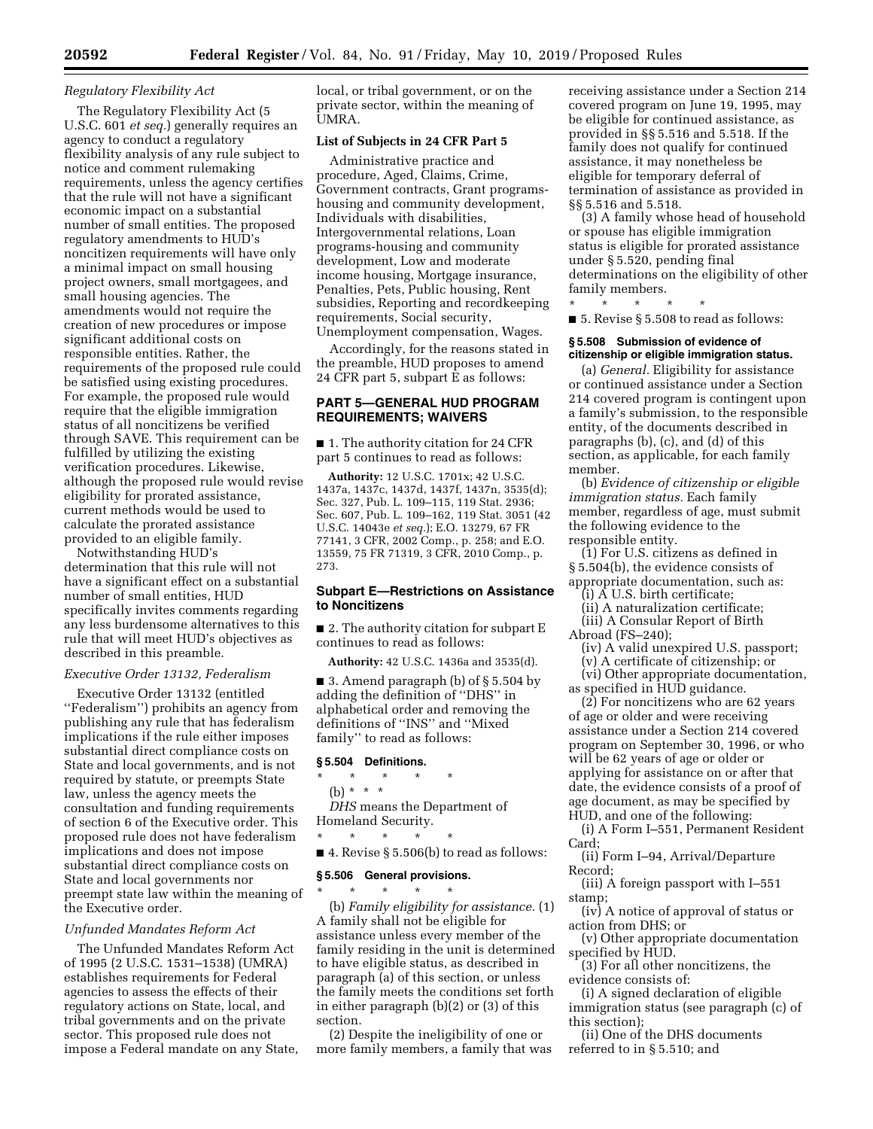# *Regulatory Flexibility Act*

The Regulatory Flexibility Act (5 U.S.C. 601 *et seq.*) generally requires an agency to conduct a regulatory flexibility analysis of any rule subject to notice and comment rulemaking requirements, unless the agency certifies that the rule will not have a significant economic impact on a substantial number of small entities. The proposed regulatory amendments to HUD's noncitizen requirements will have only a minimal impact on small housing project owners, small mortgagees, and small housing agencies. The amendments would not require the creation of new procedures or impose significant additional costs on responsible entities. Rather, the requirements of the proposed rule could be satisfied using existing procedures. For example, the proposed rule would require that the eligible immigration status of all noncitizens be verified through SAVE. This requirement can be fulfilled by utilizing the existing verification procedures. Likewise, although the proposed rule would revise eligibility for prorated assistance, current methods would be used to calculate the prorated assistance provided to an eligible family.

Notwithstanding HUD's determination that this rule will not have a significant effect on a substantial number of small entities, HUD specifically invites comments regarding any less burdensome alternatives to this rule that will meet HUD's objectives as described in this preamble.

#### *Executive Order 13132, Federalism*

Executive Order 13132 (entitled ''Federalism'') prohibits an agency from publishing any rule that has federalism implications if the rule either imposes substantial direct compliance costs on State and local governments, and is not required by statute, or preempts State law, unless the agency meets the consultation and funding requirements of section 6 of the Executive order. This proposed rule does not have federalism implications and does not impose substantial direct compliance costs on State and local governments nor preempt state law within the meaning of the Executive order.

## *Unfunded Mandates Reform Act*

The Unfunded Mandates Reform Act of 1995 (2 U.S.C. 1531–1538) (UMRA) establishes requirements for Federal agencies to assess the effects of their regulatory actions on State, local, and tribal governments and on the private sector. This proposed rule does not impose a Federal mandate on any State, local, or tribal government, or on the private sector, within the meaning of UMRA.

#### **List of Subjects in 24 CFR Part 5**

Administrative practice and procedure, Aged, Claims, Crime, Government contracts, Grant programshousing and community development, Individuals with disabilities, Intergovernmental relations, Loan programs-housing and community development, Low and moderate income housing, Mortgage insurance, Penalties, Pets, Public housing, Rent subsidies, Reporting and recordkeeping requirements, Social security, Unemployment compensation, Wages.

Accordingly, for the reasons stated in the preamble, HUD proposes to amend 24 CFR part 5, subpart E as follows:

# **PART 5—GENERAL HUD PROGRAM REQUIREMENTS; WAIVERS**

■ 1. The authority citation for 24 CFR part 5 continues to read as follows:

**Authority:** 12 U.S.C. 1701x; 42 U.S.C. 1437a, 1437c, 1437d, 1437f, 1437n, 3535(d); Sec. 327, Pub. L. 109–115, 119 Stat. 2936; Sec. 607, Pub. L. 109–162, 119 Stat. 3051 (42 U.S.C. 14043e *et seq.*); E.O. 13279, 67 FR 77141, 3 CFR, 2002 Comp., p. 258; and E.O. 13559, 75 FR 71319, 3 CFR, 2010 Comp., p. 273.

### **Subpart E—Restrictions on Assistance to Noncitizens**

■ 2. The authority citation for subpart E continues to read as follows:

**Authority:** 42 U.S.C. 1436a and 3535(d).

 $\blacksquare$  3. Amend paragraph (b) of § 5.504 by adding the definition of ''DHS'' in alphabetical order and removing the definitions of ''INS'' and ''Mixed family'' to read as follows:

# **§ 5.504 Definitions.**

\* \* \* \* \*

(b) \* \* \*

*DHS* means the Department of Homeland Security.

\* \* \* \* \*

 $\blacksquare$  4. Revise § 5.506(b) to read as follows:

# **§ 5.506 General provisions.**

\* \* \* \* \* (b) *Family eligibility for assistance.* (1) A family shall not be eligible for assistance unless every member of the family residing in the unit is determined to have eligible status, as described in paragraph (a) of this section, or unless the family meets the conditions set forth in either paragraph (b)(2) or (3) of this section.

(2) Despite the ineligibility of one or more family members, a family that was receiving assistance under a Section 214 covered program on June 19, 1995, may be eligible for continued assistance, as provided in §§ 5.516 and 5.518. If the family does not qualify for continued assistance, it may nonetheless be eligible for temporary deferral of termination of assistance as provided in §§ 5.516 and 5.518.

(3) A family whose head of household or spouse has eligible immigration status is eligible for prorated assistance under § 5.520, pending final determinations on the eligibility of other family members.

\* \* \* \* \*

■ 5. Revise § 5.508 to read as follows:

#### **§ 5.508 Submission of evidence of citizenship or eligible immigration status.**

(a) *General.* Eligibility for assistance or continued assistance under a Section 214 covered program is contingent upon a family's submission, to the responsible entity, of the documents described in paragraphs (b), (c), and (d) of this section, as applicable, for each family member.

(b) *Evidence of citizenship or eligible immigration status.* Each family member, regardless of age, must submit the following evidence to the responsible entity.

(1) For U.S. citizens as defined in § 5.504(b), the evidence consists of appropriate documentation, such as:

(i) A U.S. birth certificate;

- (ii) A naturalization certificate; (iii) A Consular Report of Birth
- Abroad (FS–240);
	- (iv) A valid unexpired U.S. passport; (v) A certificate of citizenship; or
- (vi) Other appropriate documentation, as specified in HUD guidance.

(2) For noncitizens who are 62 years of age or older and were receiving assistance under a Section 214 covered program on September 30, 1996, or who will be 62 years of age or older or applying for assistance on or after that date, the evidence consists of a proof of age document, as may be specified by HUD, and one of the following:

- (i) A Form I–551, Permanent Resident Card;
- (ii) Form I–94, Arrival/Departure Record;
- (iii) A foreign passport with I–551 stamp;
- (iv) A notice of approval of status or action from DHS; or
- (v) Other appropriate documentation specified by HUD.
- (3) For all other noncitizens, the evidence consists of:
- (i) A signed declaration of eligible immigration status (see paragraph (c) of this section);
- (ii) One of the DHS documents referred to in § 5.510; and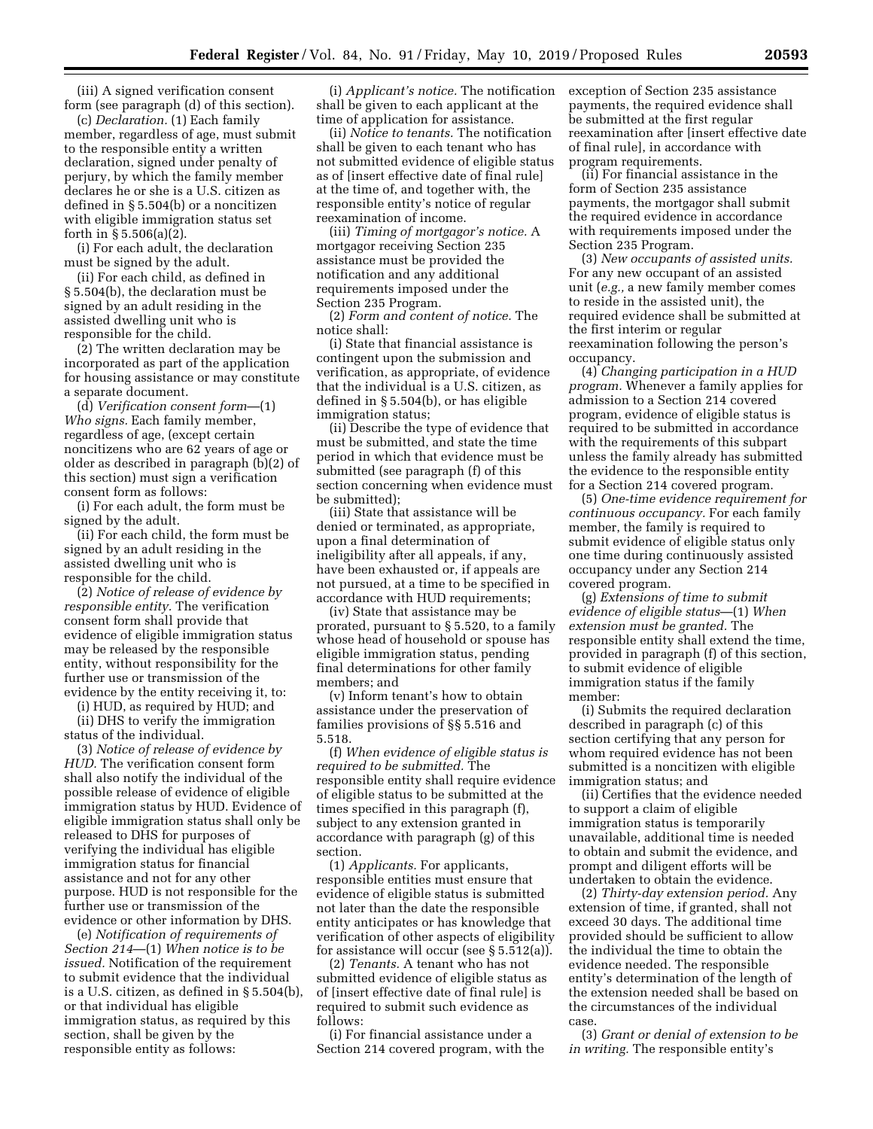(iii) A signed verification consent form (see paragraph (d) of this section).

(c) *Declaration.* (1) Each family member, regardless of age, must submit to the responsible entity a written declaration, signed under penalty of perjury, by which the family member declares he or she is a U.S. citizen as defined in § 5.504(b) or a noncitizen with eligible immigration status set forth in § 5.506(a)(2).

(i) For each adult, the declaration must be signed by the adult.

(ii) For each child, as defined in § 5.504(b), the declaration must be signed by an adult residing in the assisted dwelling unit who is responsible for the child.

(2) The written declaration may be incorporated as part of the application for housing assistance or may constitute a separate document.

(d) *Verification consent form*—(1) *Who signs.* Each family member, regardless of age, (except certain noncitizens who are 62 years of age or older as described in paragraph (b)(2) of this section) must sign a verification consent form as follows:

(i) For each adult, the form must be signed by the adult.

(ii) For each child, the form must be signed by an adult residing in the assisted dwelling unit who is responsible for the child.

(2) *Notice of release of evidence by responsible entity.* The verification consent form shall provide that evidence of eligible immigration status may be released by the responsible entity, without responsibility for the further use or transmission of the evidence by the entity receiving it, to:

(i) HUD, as required by HUD; and

(ii) DHS to verify the immigration status of the individual.

(3) *Notice of release of evidence by HUD.* The verification consent form shall also notify the individual of the possible release of evidence of eligible immigration status by HUD. Evidence of eligible immigration status shall only be released to DHS for purposes of verifying the individual has eligible immigration status for financial assistance and not for any other purpose. HUD is not responsible for the further use or transmission of the evidence or other information by DHS.

(e) *Notification of requirements of Section 214*—(1) *When notice is to be issued.* Notification of the requirement to submit evidence that the individual is a U.S. citizen, as defined in § 5.504(b), or that individual has eligible immigration status, as required by this section, shall be given by the responsible entity as follows:

(i) *Applicant's notice.* The notification shall be given to each applicant at the time of application for assistance.

(ii) *Notice to tenants.* The notification shall be given to each tenant who has not submitted evidence of eligible status as of [insert effective date of final rule] at the time of, and together with, the responsible entity's notice of regular reexamination of income.

(iii) *Timing of mortgagor's notice.* A mortgagor receiving Section 235 assistance must be provided the notification and any additional requirements imposed under the Section 235 Program.

(2) *Form and content of notice.* The notice shall:

(i) State that financial assistance is contingent upon the submission and verification, as appropriate, of evidence that the individual is a U.S. citizen, as defined in § 5.504(b), or has eligible immigration status;

(ii) Describe the type of evidence that must be submitted, and state the time period in which that evidence must be submitted (see paragraph (f) of this section concerning when evidence must be submitted);

(iii) State that assistance will be denied or terminated, as appropriate, upon a final determination of ineligibility after all appeals, if any, have been exhausted or, if appeals are not pursued, at a time to be specified in accordance with HUD requirements;

(iv) State that assistance may be prorated, pursuant to § 5.520, to a family whose head of household or spouse has eligible immigration status, pending final determinations for other family members; and

(v) Inform tenant's how to obtain assistance under the preservation of families provisions of §§ 5.516 and 5.518.

(f) *When evidence of eligible status is required to be submitted.* The responsible entity shall require evidence of eligible status to be submitted at the times specified in this paragraph (f), subject to any extension granted in accordance with paragraph (g) of this section.

(1) *Applicants.* For applicants, responsible entities must ensure that evidence of eligible status is submitted not later than the date the responsible entity anticipates or has knowledge that verification of other aspects of eligibility for assistance will occur (see § 5.512(a)).

(2) *Tenants.* A tenant who has not submitted evidence of eligible status as of [insert effective date of final rule] is required to submit such evidence as follows:

(i) For financial assistance under a Section 214 covered program, with the exception of Section 235 assistance payments, the required evidence shall be submitted at the first regular reexamination after [insert effective date of final rule], in accordance with program requirements.

(ii) For financial assistance in the form of Section 235 assistance payments, the mortgagor shall submit the required evidence in accordance with requirements imposed under the Section 235 Program.

(3) *New occupants of assisted units.*  For any new occupant of an assisted unit (*e.g.,* a new family member comes to reside in the assisted unit), the required evidence shall be submitted at the first interim or regular reexamination following the person's occupancy.

(4) *Changing participation in a HUD program.* Whenever a family applies for admission to a Section 214 covered program, evidence of eligible status is required to be submitted in accordance with the requirements of this subpart unless the family already has submitted the evidence to the responsible entity for a Section 214 covered program.

(5) *One-time evidence requirement for continuous occupancy.* For each family member, the family is required to submit evidence of eligible status only one time during continuously assisted occupancy under any Section 214 covered program.

(g) *Extensions of time to submit evidence of eligible status*—(1) *When extension must be granted.* The responsible entity shall extend the time, provided in paragraph (f) of this section, to submit evidence of eligible immigration status if the family member:

(i) Submits the required declaration described in paragraph (c) of this section certifying that any person for whom required evidence has not been submitted is a noncitizen with eligible immigration status; and

(ii) Certifies that the evidence needed to support a claim of eligible immigration status is temporarily unavailable, additional time is needed to obtain and submit the evidence, and prompt and diligent efforts will be undertaken to obtain the evidence.

(2) *Thirty-day extension period.* Any extension of time, if granted, shall not exceed 30 days. The additional time provided should be sufficient to allow the individual the time to obtain the evidence needed. The responsible entity's determination of the length of the extension needed shall be based on the circumstances of the individual case.

(3) *Grant or denial of extension to be in writing.* The responsible entity's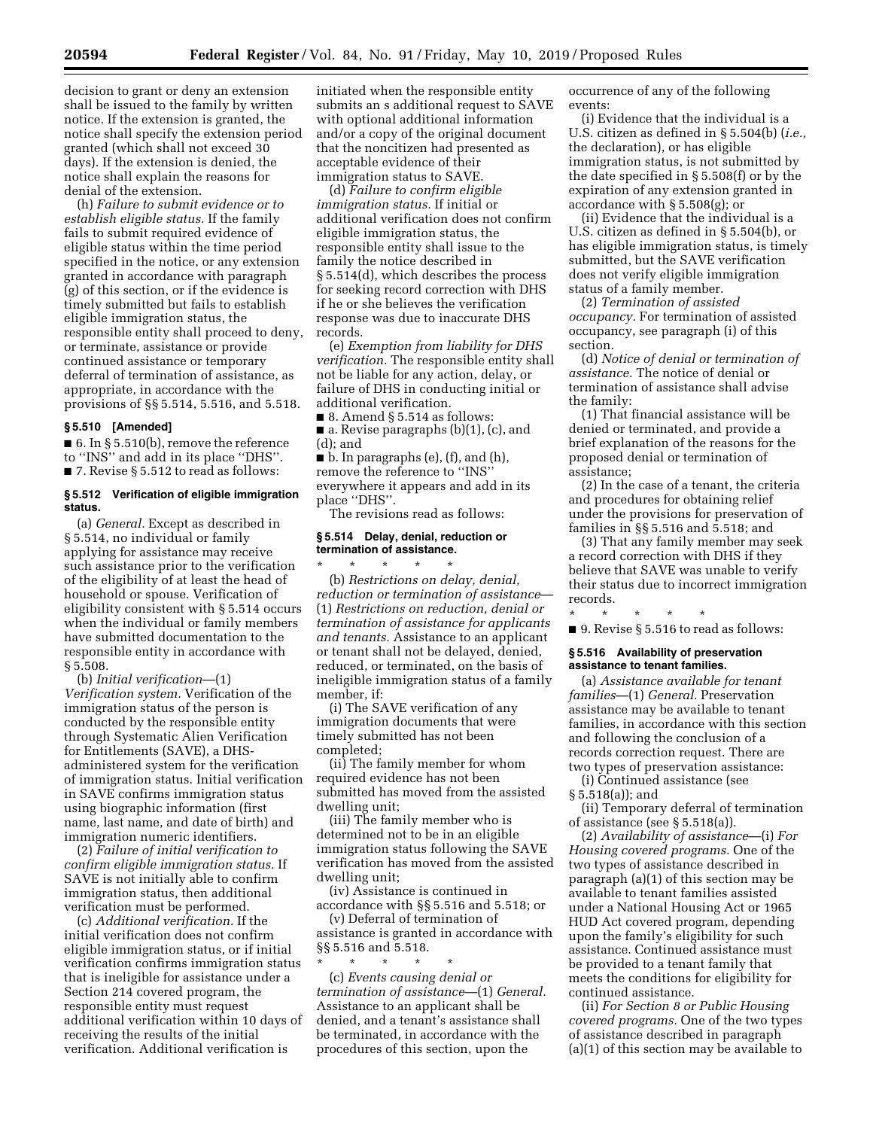decision to grant or deny an extension shall be issued to the family by written notice. If the extension is granted, the notice shall specify the extension period granted (which shall not exceed 30 days). If the extension is denied, the notice shall explain the reasons for denial of the extension.

(h) *Failure to submit evidence or to establish eligible status.* If the family fails to submit required evidence of eligible status within the time period specified in the notice, or any extension granted in accordance with paragraph (g) of this section, or if the evidence is timely submitted but fails to establish eligible immigration status, the responsible entity shall proceed to deny, or terminate, assistance or provide continued assistance or temporary deferral of termination of assistance, as appropriate, in accordance with the provisions of §§ 5.514, 5.516, and 5.518.

#### **§ 5.510 [Amended]**

■ 6. In § 5.510(b), remove the reference to ''INS'' and add in its place ''DHS''. ■ 7. Revise § 5.512 to read as follows:

#### **§ 5.512 Verification of eligible immigration status.**

(a) *General.* Except as described in § 5.514, no individual or family applying for assistance may receive such assistance prior to the verification of the eligibility of at least the head of household or spouse. Verification of eligibility consistent with § 5.514 occurs when the individual or family members have submitted documentation to the responsible entity in accordance with § 5.508.

(b) *Initial verification*—(1) *Verification system.* Verification of the immigration status of the person is conducted by the responsible entity through Systematic Alien Verification for Entitlements (SAVE), a DHSadministered system for the verification of immigration status. Initial verification in SAVE confirms immigration status using biographic information (first name, last name, and date of birth) and immigration numeric identifiers.

(2) *Failure of initial verification to confirm eligible immigration status.* If SAVE is not initially able to confirm immigration status, then additional verification must be performed.

(c) *Additional verification.* If the initial verification does not confirm eligible immigration status, or if initial verification confirms immigration status that is ineligible for assistance under a Section 214 covered program, the responsible entity must request additional verification within 10 days of receiving the results of the initial verification. Additional verification is

initiated when the responsible entity submits an s additional request to SAVE with optional additional information and/or a copy of the original document that the noncitizen had presented as acceptable evidence of their immigration status to SAVE.

(d) *Failure to confirm eligible immigration status.* If initial or additional verification does not confirm eligible immigration status, the responsible entity shall issue to the family the notice described in § 5.514(d), which describes the process for seeking record correction with DHS if he or she believes the verification response was due to inaccurate DHS records.

(e) *Exemption from liability for DHS verification.* The responsible entity shall not be liable for any action, delay, or failure of DHS in conducting initial or additional verification.

 $\blacksquare$  8. Amend § 5.514 as follows:

■ a. Revise paragraphs (b)(1), (c), and (d); and

 $\blacksquare$  b. In paragraphs (e), (f), and (h), remove the reference to ''INS'' everywhere it appears and add in its place ''DHS''.

The revisions read as follows:

## **§ 5.514 Delay, denial, reduction or termination of assistance.**

\* \* \* \* \* (b) *Restrictions on delay, denial, reduction or termination of assistance*— (1) *Restrictions on reduction, denial or termination of assistance for applicants and tenants.* Assistance to an applicant or tenant shall not be delayed, denied, reduced, or terminated, on the basis of ineligible immigration status of a family member, if:

(i) The SAVE verification of any immigration documents that were timely submitted has not been completed;

(ii) The family member for whom required evidence has not been submitted has moved from the assisted dwelling unit;

(iii) The family member who is determined not to be in an eligible immigration status following the SAVE verification has moved from the assisted dwelling unit;

(iv) Assistance is continued in accordance with §§ 5.516 and 5.518; or

(v) Deferral of termination of assistance is granted in accordance with §§ 5.516 and 5.518.

\* \* \* \* \* (c) *Events causing denial or termination of assistance*—(1) *General.*  Assistance to an applicant shall be denied, and a tenant's assistance shall be terminated, in accordance with the procedures of this section, upon the

occurrence of any of the following events:

(i) Evidence that the individual is a U.S. citizen as defined in § 5.504(b) (*i.e.,*  the declaration), or has eligible immigration status, is not submitted by the date specified in § 5.508(f) or by the expiration of any extension granted in accordance with § 5.508(g); or

(ii) Evidence that the individual is a U.S. citizen as defined in § 5.504(b), or has eligible immigration status, is timely submitted, but the SAVE verification does not verify eligible immigration status of a family member.

(2) *Termination of assisted occupancy.* For termination of assisted occupancy, see paragraph (i) of this section.

(d) *Notice of denial or termination of assistance.* The notice of denial or termination of assistance shall advise the family:

(1) That financial assistance will be denied or terminated, and provide a brief explanation of the reasons for the proposed denial or termination of assistance;

(2) In the case of a tenant, the criteria and procedures for obtaining relief under the provisions for preservation of families in §§ 5.516 and 5.518; and

(3) That any family member may seek a record correction with DHS if they believe that SAVE was unable to verify their status due to incorrect immigration records.

\* \* \* \* \* ■ 9. Revise § 5.516 to read as follows:

#### **§ 5.516 Availability of preservation assistance to tenant families.**

(a) *Assistance available for tenant families*—(1) *General.* Preservation assistance may be available to tenant families, in accordance with this section and following the conclusion of a records correction request. There are two types of preservation assistance:

(i) Continued assistance (see § 5.518(a)); and

(ii) Temporary deferral of termination of assistance (see § 5.518(a)).

(2) *Availability of assistance*—(i) *For Housing covered programs.* One of the two types of assistance described in paragraph (a)(1) of this section may be available to tenant families assisted under a National Housing Act or 1965 HUD Act covered program, depending upon the family's eligibility for such assistance. Continued assistance must be provided to a tenant family that meets the conditions for eligibility for continued assistance.

(ii) *For Section 8 or Public Housing covered programs.* One of the two types of assistance described in paragraph (a)(1) of this section may be available to